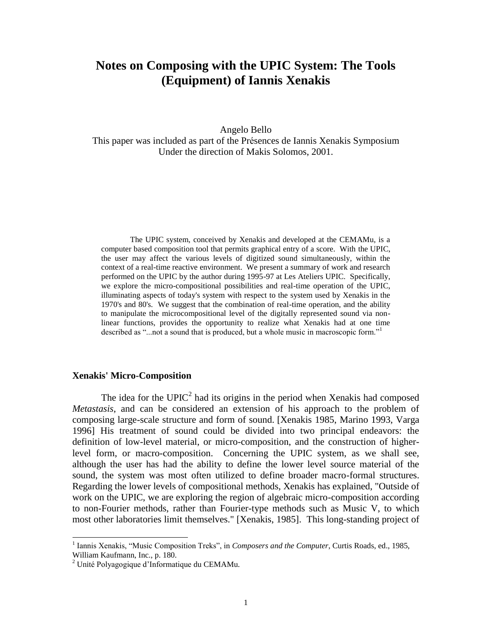# **Notes on Composing with the UPIC System: The Tools (Equipment) of Iannis Xenakis**

Angelo Bello

This paper was included as part of the Présences de Iannis Xenakis Symposium Under the direction of Makis Solomos, 2001.

The UPIC system, conceived by Xenakis and developed at the CEMAMu, is a computer based composition tool that permits graphical entry of a score. With the UPIC, the user may affect the various levels of digitized sound simultaneously, within the context of a real-time reactive environment. We present a summary of work and research performed on the UPIC by the author during 1995-97 at Les Ateliers UPIC. Specifically, we explore the micro-compositional possibilities and real-time operation of the UPIC, illuminating aspects of today's system with respect to the system used by Xenakis in the 1970's and 80's. We suggest that the combination of real-time operation, and the ability to manipulate the microcompositional level of the digitally represented sound via nonlinear functions, provides the opportunity to realize what Xenakis had at one time described as "...not a sound that is produced, but a whole music in macroscopic form."<sup>1</sup>

## **Xenakis' Micro-Composition**

The idea for the  $UPIC<sup>2</sup>$  had its origins in the period when Xenakis had composed *Metastasis*, and can be considered an extension of his approach to the problem of composing large-scale structure and form of sound. [Xenakis 1985, Marino 1993, Varga 1996] His treatment of sound could be divided into two principal endeavors: the definition of low-level material, or micro-composition, and the construction of higherlevel form, or macro-composition. Concerning the UPIC system, as we shall see, although the user has had the ability to define the lower level source material of the sound, the system was most often utilized to define broader macro-formal structures. Regarding the lower levels of compositional methods, Xenakis has explained, "Outside of work on the UPIC, we are exploring the region of algebraic micro-composition according to non-Fourier methods, rather than Fourier-type methods such as Music V, to which most other laboratories limit themselves." [Xenakis, 1985]. This long-standing project of

<sup>&</sup>lt;sup>1</sup> Iannis Xenakis, "Music Composition Treks", in *Composers and the Computer*, Curtis Roads, ed., 1985, William Kaufmann, Inc., p. 180.

<sup>2</sup> Unité Polyagogique d"Informatique du CEMAMu.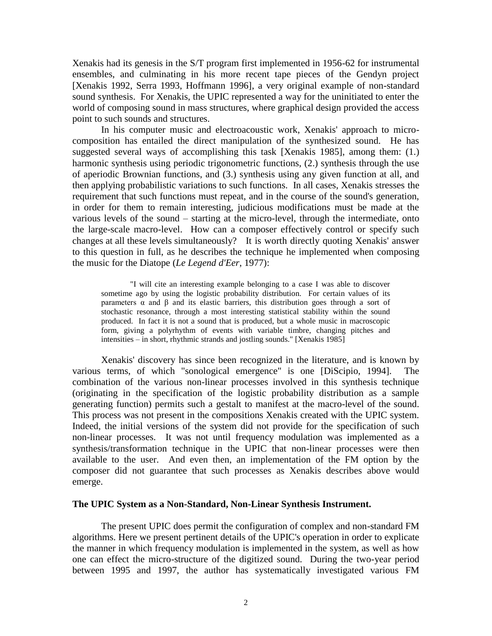Xenakis had its genesis in the S/T program first implemented in 1956-62 for instrumental ensembles, and culminating in his more recent tape pieces of the Gendyn project [Xenakis 1992, Serra 1993, Hoffmann 1996], a very original example of non-standard sound synthesis. For Xenakis, the UPIC represented a way for the uninitiated to enter the world of composing sound in mass structures, where graphical design provided the access point to such sounds and structures.

In his computer music and electroacoustic work, Xenakis' approach to microcomposition has entailed the direct manipulation of the synthesized sound. He has suggested several ways of accomplishing this task [Xenakis 1985], among them: (1.) harmonic synthesis using periodic trigonometric functions, (2.) synthesis through the use of aperiodic Brownian functions, and (3.) synthesis using any given function at all, and then applying probabilistic variations to such functions. In all cases, Xenakis stresses the requirement that such functions must repeat, and in the course of the sound's generation, in order for them to remain interesting, judicious modifications must be made at the various levels of the sound – starting at the micro-level, through the intermediate, onto the large-scale macro-level. How can a composer effectively control or specify such changes at all these levels simultaneously? It is worth directly quoting Xenakis' answer to this question in full, as he describes the technique he implemented when composing the music for the Diatope (*Le Legend d'Eer*, 1977):

"I will cite an interesting example belonging to a case I was able to discover sometime ago by using the logistic probability distribution. For certain values of its parameters  $\alpha$  and  $\beta$  and its elastic barriers, this distribution goes through a sort of stochastic resonance, through a most interesting statistical stability within the sound produced. In fact it is not a sound that is produced, but a whole music in macroscopic form, giving a polyrhythm of events with variable timbre, changing pitches and intensities – in short, rhythmic strands and jostling sounds." [Xenakis 1985]

Xenakis' discovery has since been recognized in the literature, and is known by various terms, of which "sonological emergence" is one [DiScipio, 1994]. The combination of the various non-linear processes involved in this synthesis technique (originating in the specification of the logistic probability distribution as a sample generating function) permits such a gestalt to manifest at the macro-level of the sound. This process was not present in the compositions Xenakis created with the UPIC system. Indeed, the initial versions of the system did not provide for the specification of such non-linear processes. It was not until frequency modulation was implemented as a synthesis/transformation technique in the UPIC that non-linear processes were then available to the user. And even then, an implementation of the FM option by the composer did not guarantee that such processes as Xenakis describes above would emerge.

#### **The UPIC System as a Non-Standard, Non-Linear Synthesis Instrument.**

The present UPIC does permit the configuration of complex and non-standard FM algorithms. Here we present pertinent details of the UPIC's operation in order to explicate the manner in which frequency modulation is implemented in the system, as well as how one can effect the micro-structure of the digitized sound. During the two-year period between 1995 and 1997, the author has systematically investigated various FM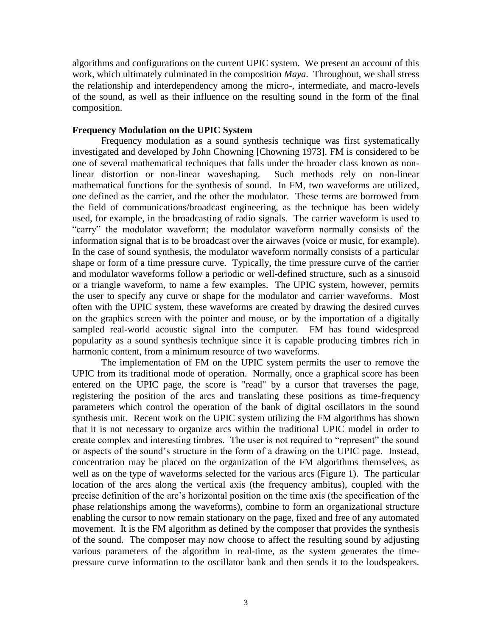algorithms and configurations on the current UPIC system. We present an account of this work, which ultimately culminated in the composition *Maya*. Throughout, we shall stress the relationship and interdependency among the micro-, intermediate, and macro-levels of the sound, as well as their influence on the resulting sound in the form of the final composition.

#### **Frequency Modulation on the UPIC System**

Frequency modulation as a sound synthesis technique was first systematically investigated and developed by John Chowning [Chowning 1973]. FM is considered to be one of several mathematical techniques that falls under the broader class known as nonlinear distortion or non-linear waveshaping. Such methods rely on non-linear mathematical functions for the synthesis of sound. In FM, two waveforms are utilized, one defined as the carrier, and the other the modulator. These terms are borrowed from the field of communications/broadcast engineering, as the technique has been widely used, for example, in the broadcasting of radio signals. The carrier waveform is used to "carry" the modulator waveform; the modulator waveform normally consists of the information signal that is to be broadcast over the airwaves (voice or music, for example). In the case of sound synthesis, the modulator waveform normally consists of a particular shape or form of a time pressure curve. Typically, the time pressure curve of the carrier and modulator waveforms follow a periodic or well-defined structure, such as a sinusoid or a triangle waveform, to name a few examples. The UPIC system, however, permits the user to specify any curve or shape for the modulator and carrier waveforms. Most often with the UPIC system, these waveforms are created by drawing the desired curves on the graphics screen with the pointer and mouse, or by the importation of a digitally sampled real-world acoustic signal into the computer. FM has found widespread popularity as a sound synthesis technique since it is capable producing timbres rich in harmonic content, from a minimum resource of two waveforms.

The implementation of FM on the UPIC system permits the user to remove the UPIC from its traditional mode of operation. Normally, once a graphical score has been entered on the UPIC page, the score is "read" by a cursor that traverses the page, registering the position of the arcs and translating these positions as time-frequency parameters which control the operation of the bank of digital oscillators in the sound synthesis unit. Recent work on the UPIC system utilizing the FM algorithms has shown that it is not necessary to organize arcs within the traditional UPIC model in order to create complex and interesting timbres. The user is not required to "represent" the sound or aspects of the sound"s structure in the form of a drawing on the UPIC page. Instead, concentration may be placed on the organization of the FM algorithms themselves, as well as on the type of waveforms selected for the various arcs (Figure 1). The particular location of the arcs along the vertical axis (the frequency ambitus), coupled with the precise definition of the arc"s horizontal position on the time axis (the specification of the phase relationships among the waveforms), combine to form an organizational structure enabling the cursor to now remain stationary on the page, fixed and free of any automated movement. It is the FM algorithm as defined by the composer that provides the synthesis of the sound. The composer may now choose to affect the resulting sound by adjusting various parameters of the algorithm in real-time, as the system generates the timepressure curve information to the oscillator bank and then sends it to the loudspeakers.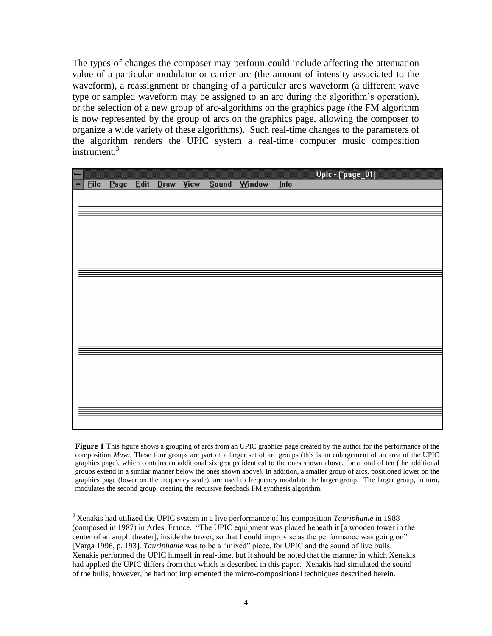The types of changes the composer may perform could include affecting the attenuation value of a particular modulator or carrier arc (the amount of intensity associated to the waveform), a reassignment or changing of a particular arc's waveform (a different wave type or sampled waveform may be assigned to an arc during the algorithm"s operation), or the selection of a new group of arc-algorithms on the graphics page (the FM algorithm is now represented by the group of arcs on the graphics page, allowing the composer to organize a wide variety of these algorithms). Such real-time changes to the parameters of the algorithm renders the UPIC system a real-time computer music composition instrument. $3$ 

| $\mathbb I$       |      |      |           |      |         |        |             | Upic - [`page_01] |
|-------------------|------|------|-----------|------|---------|--------|-------------|-------------------|
| $\qquad \qquad =$ | Eile | Page | Edit Draw | View | $Sound$ | Window | <b>Info</b> |                   |
|                   |      |      |           |      |         |        |             |                   |
|                   |      |      |           |      |         |        |             |                   |
|                   |      |      |           |      |         |        |             |                   |
|                   |      |      |           |      |         |        |             |                   |
|                   |      |      |           |      |         |        |             |                   |
|                   |      |      |           |      |         |        |             |                   |
|                   |      |      |           |      |         |        |             |                   |
|                   |      |      |           |      |         |        |             |                   |
|                   |      |      |           |      |         |        |             |                   |
|                   |      |      |           |      |         |        |             |                   |
|                   |      |      |           |      |         |        |             |                   |
|                   |      |      |           |      |         |        |             |                   |
|                   |      |      |           |      |         |        |             |                   |
|                   |      |      |           |      |         |        |             |                   |
|                   |      |      |           |      |         |        |             |                   |
|                   |      |      |           |      |         |        |             |                   |
|                   |      |      |           |      |         |        |             |                   |
|                   |      |      |           |      |         |        |             |                   |
|                   |      |      |           |      |         |        |             |                   |
|                   |      |      |           |      |         |        |             |                   |
|                   |      |      |           |      |         |        |             |                   |
|                   |      |      |           |      |         |        |             |                   |
|                   |      |      |           |      |         |        |             |                   |

**Figure 1** This figure shows a grouping of arcs from an UPIC graphics page created by the author for the performance of the composition *Maya*. These four groups are part of a larger set of arc groups (this is an enlargement of an area of the UPIC graphics page), which contains an additional six groups identical to the ones shown above, for a total of ten (the additional groups extend in a similar manner below the ones shown above). In addition, a smaller group of arcs, positioned lower on the graphics page (lower on the frequency scale), are used to frequency modulate the larger group. The larger group, in turn, modulates the second group, creating the recursive feedback FM synthesis algorithm.

<sup>3</sup> Xenakis had utilized the UPIC system in a live performance of his composition *Tauriphanie* in 1988 (composed in 1987) in Arles, France. "The UPIC equipment was placed beneath it [a wooden tower in the center of an amphitheater], inside the tower, so that I could improvise as the performance was going on" [Varga 1996, p. 193]. *Tauriphanie* was to be a "mixed" piece, for UPIC and the sound of live bulls. Xenakis performed the UPIC himself in real-time, but it should be noted that the manner in which Xenakis had applied the UPIC differs from that which is described in this paper. Xenakis had simulated the sound of the bulls, however, he had not implemented the micro-compositional techniques described herein.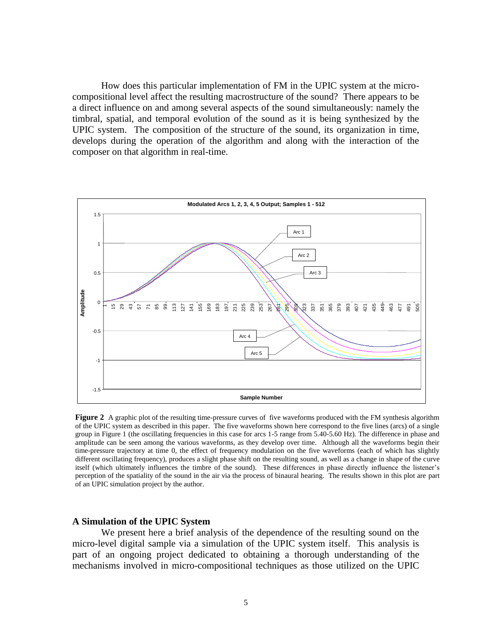How does this particular implementation of FM in the UPIC system at the microcompositional level affect the resulting macrostructure of the sound? There appears to be a direct influence on and among several aspects of the sound simultaneously: namely the timbral, spatial, and temporal evolution of the sound as it is being synthesized by the UPIC system. The composition of the structure of the sound, its organization in time, develops during the operation of the algorithm and along with the interaction of the composer on that algorithm in real-time.



**Figure 2** A graphic plot of the resulting time-pressure curves of five waveforms produced with the FM synthesis algorithm of the UPIC system as described in this paper. The five waveforms shown here correspond to the five lines (arcs) of a single group in Figure 1 (the oscillating frequencies in this case for arcs 1-5 range from 5.40-5.60 Hz). The difference in phase and amplitude can be seen among the various waveforms, as they develop over time. Although all the waveforms begin their time-pressure trajectory at time 0, the effect of frequency modulation on the five waveforms (each of which has slightly different oscillating frequency), produces a slight phase shift on the resulting sound, as well as a change in shape of the curve itself (which ultimately influences the timbre of the sound). These differences in phase directly influence the listener"s perception of the spatiality of the sound in the air via the process of binaural hearing. The results shown in this plot are part of an UPIC simulation project by the author.

#### **A Simulation of the UPIC System**

We present here a brief analysis of the dependence of the resulting sound on the micro-level digital sample via a simulation of the UPIC system itself. This analysis is part of an ongoing project dedicated to obtaining a thorough understanding of the mechanisms involved in micro-compositional techniques as those utilized on the UPIC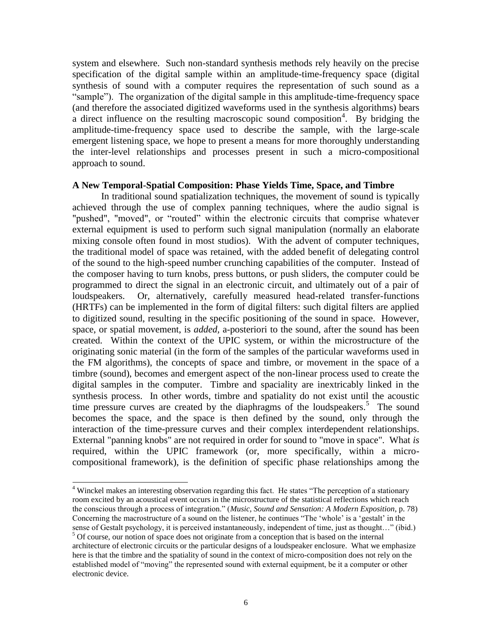system and elsewhere. Such non-standard synthesis methods rely heavily on the precise specification of the digital sample within an amplitude-time-frequency space (digital synthesis of sound with a computer requires the representation of such sound as a "sample"). The organization of the digital sample in this amplitude-time-frequency space (and therefore the associated digitized waveforms used in the synthesis algorithms) bears a direct influence on the resulting macroscopic sound composition<sup>4</sup>. By bridging the amplitude-time-frequency space used to describe the sample, with the large-scale emergent listening space, we hope to present a means for more thoroughly understanding the inter-level relationships and processes present in such a micro-compositional approach to sound.

## **A New Temporal-Spatial Composition: Phase Yields Time, Space, and Timbre**

In traditional sound spatialization techniques, the movement of sound is typically achieved through the use of complex panning techniques, where the audio signal is "pushed", "moved", or "routed" within the electronic circuits that comprise whatever external equipment is used to perform such signal manipulation (normally an elaborate mixing console often found in most studios). With the advent of computer techniques, the traditional model of space was retained, with the added benefit of delegating control of the sound to the high-speed number crunching capabilities of the computer. Instead of the composer having to turn knobs, press buttons, or push sliders, the computer could be programmed to direct the signal in an electronic circuit, and ultimately out of a pair of loudspeakers. Or, alternatively, carefully measured head-related transfer-functions (HRTFs) can be implemented in the form of digital filters: such digital filters are applied to digitized sound, resulting in the specific positioning of the sound in space. However, space, or spatial movement, is *added,* a-posteriori to the sound, after the sound has been created. Within the context of the UPIC system, or within the microstructure of the originating sonic material (in the form of the samples of the particular waveforms used in the FM algorithms), the concepts of space and timbre, or movement in the space of a timbre (sound), becomes and emergent aspect of the non-linear process used to create the digital samples in the computer. Timbre and spaciality are inextricably linked in the synthesis process. In other words, timbre and spatiality do not exist until the acoustic time pressure curves are created by the diaphragms of the loudspeakers.<sup>5</sup> The sound becomes the space, and the space is then defined by the sound, only through the interaction of the time-pressure curves and their complex interdependent relationships. External "panning knobs" are not required in order for sound to "move in space". What *is* required, within the UPIC framework (or, more specifically, within a microcompositional framework), is the definition of specific phase relationships among the

 $\overline{a}$ <sup>4</sup> Winckel makes an interesting observation regarding this fact. He states "The perception of a stationary room excited by an acoustical event occurs in the microstructure of the statistical reflections which reach the conscious through a process of integration." (*Music, Sound and Sensation: A Modern Exposition*, p. 78) Concerning the macrostructure of a sound on the listener, he continues "The "whole" is a "gestalt" in the sense of Gestalt psychology, it is perceived instantaneously, independent of time, just as thought…" (ibid.)

<sup>&</sup>lt;sup>5</sup> Of course, our notion of space does not originate from a conception that is based on the internal architecture of electronic circuits or the particular designs of a loudspeaker enclosure. What we emphasize here is that the timbre and the spatiality of sound in the context of micro-composition does not rely on the established model of "moving" the represented sound with external equipment, be it a computer or other electronic device.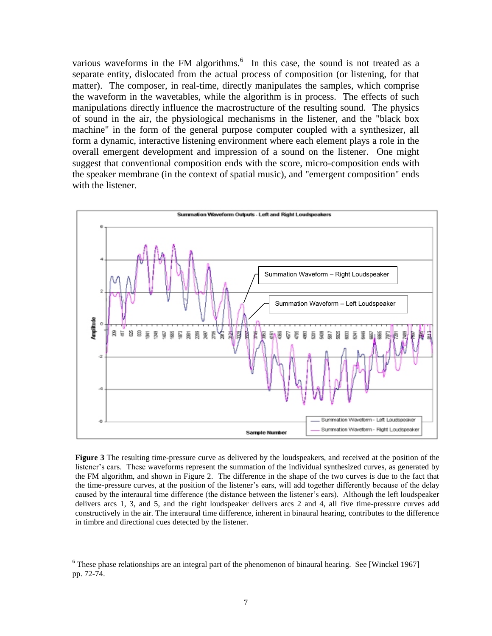various waveforms in the FM algorithms. $<sup>6</sup>$  In this case, the sound is not treated as a</sup> separate entity, dislocated from the actual process of composition (or listening, for that matter). The composer, in real-time, directly manipulates the samples, which comprise the waveform in the wavetables, while the algorithm is in process. The effects of such manipulations directly influence the macrostructure of the resulting sound. The physics of sound in the air, the physiological mechanisms in the listener, and the "black box machine" in the form of the general purpose computer coupled with a synthesizer, all form a dynamic, interactive listening environment where each element plays a role in the overall emergent development and impression of a sound on the listener. One might suggest that conventional composition ends with the score, micro-composition ends with the speaker membrane (in the context of spatial music), and "emergent composition" ends with the listener.



**Figure 3** The resulting time-pressure curve as delivered by the loudspeakers, and received at the position of the listener"s ears. These waveforms represent the summation of the individual synthesized curves, as generated by the FM algorithm, and shown in Figure 2. The difference in the shape of the two curves is due to the fact that the time-pressure curves, at the position of the listener's ears, will add together differently because of the delay caused by the interaural time difference (the distance between the listener"s ears). Although the left loudspeaker delivers arcs 1, 3, and 5, and the right loudspeaker delivers arcs 2 and 4, all five time-pressure curves add constructively in the air. The interaural time difference, inherent in binaural hearing, contributes to the difference in timbre and directional cues detected by the listener.

 $6$  These phase relationships are an integral part of the phenomenon of binaural hearing. See [Winckel 1967] pp. 72-74.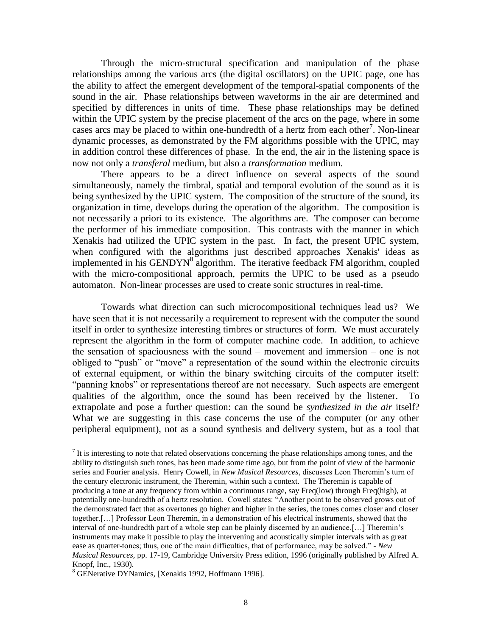Through the micro-structural specification and manipulation of the phase relationships among the various arcs (the digital oscillators) on the UPIC page, one has the ability to affect the emergent development of the temporal-spatial components of the sound in the air. Phase relationships between waveforms in the air are determined and specified by differences in units of time. These phase relationships may be defined within the UPIC system by the precise placement of the arcs on the page, where in some cases arcs may be placed to within one-hundredth of a hertz from each other<sup>7</sup>. Non-linear dynamic processes, as demonstrated by the FM algorithms possible with the UPIC, may in addition control these differences of phase. In the end, the air in the listening space is now not only a *transferal* medium, but also a *transformation* medium.

There appears to be a direct influence on several aspects of the sound simultaneously, namely the timbral, spatial and temporal evolution of the sound as it is being synthesized by the UPIC system. The composition of the structure of the sound, its organization in time, develops during the operation of the algorithm. The composition is not necessarily a priori to its existence. The algorithms are. The composer can become the performer of his immediate composition. This contrasts with the manner in which Xenakis had utilized the UPIC system in the past. In fact, the present UPIC system, when configured with the algorithms just described approaches Xenakis' ideas as implemented in his GENDYN<sup>8</sup> algorithm. The iterative feedback FM algorithm, coupled with the micro-compositional approach, permits the UPIC to be used as a pseudo automaton. Non-linear processes are used to create sonic structures in real-time.

Towards what direction can such microcompositional techniques lead us? We have seen that it is not necessarily a requirement to represent with the computer the sound itself in order to synthesize interesting timbres or structures of form. We must accurately represent the algorithm in the form of computer machine code. In addition, to achieve the sensation of spaciousness with the sound – movement and immersion – one is not obliged to "push" or "move" a representation of the sound within the electronic circuits of external equipment, or within the binary switching circuits of the computer itself: "panning knobs" or representations thereof are not necessary. Such aspects are emergent qualities of the algorithm, once the sound has been received by the listener. To extrapolate and pose a further question: can the sound be *synthesized in the air* itself? What we are suggesting in this case concerns the use of the computer (or any other peripheral equipment), not as a sound synthesis and delivery system, but as a tool that

 $<sup>7</sup>$  It is interesting to note that related observations concerning the phase relationships among tones, and the</sup> ability to distinguish such tones, has been made some time ago, but from the point of view of the harmonic series and Fourier analysis. Henry Cowell, in *New Musical Resources*, discusses Leon Theremin"s turn of the century electronic instrument, the Theremin, within such a context. The Theremin is capable of producing a tone at any frequency from within a continuous range, say Freq(low) through Freq(high), at potentially one-hundredth of a hertz resolution. Cowell states: "Another point to be observed grows out of the demonstrated fact that as overtones go higher and higher in the series, the tones comes closer and closer together.[…] Professor Leon Theremin, in a demonstration of his electrical instruments, showed that the interval of one-hundredth part of a whole step can be plainly discerned by an audience.[…] Theremin"s instruments may make it possible to play the intervening and acoustically simpler intervals with as great ease as quarter-tones; thus, one of the main difficulties, that of performance, may be solved." - *New Musical Resources,* pp. 17-19, Cambridge University Press edition, 1996 (originally published by Alfred A. Knopf, Inc., 1930).

<sup>8</sup> GENerative DYNamics, [Xenakis 1992, Hoffmann 1996].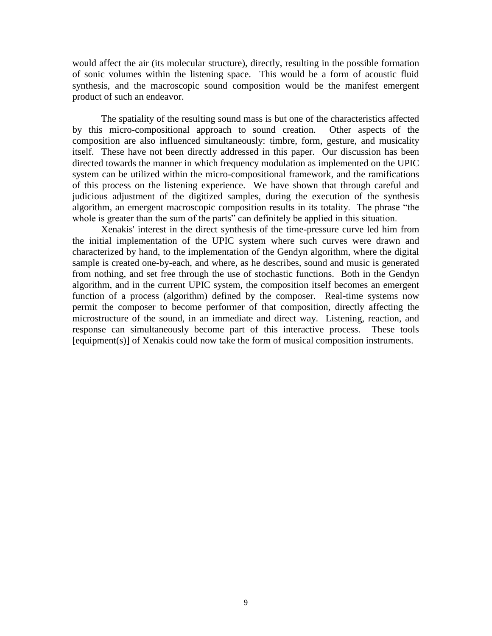would affect the air (its molecular structure), directly, resulting in the possible formation of sonic volumes within the listening space. This would be a form of acoustic fluid synthesis, and the macroscopic sound composition would be the manifest emergent product of such an endeavor.

The spatiality of the resulting sound mass is but one of the characteristics affected by this micro-compositional approach to sound creation. Other aspects of the composition are also influenced simultaneously: timbre, form, gesture, and musicality itself. These have not been directly addressed in this paper. Our discussion has been directed towards the manner in which frequency modulation as implemented on the UPIC system can be utilized within the micro-compositional framework, and the ramifications of this process on the listening experience. We have shown that through careful and judicious adjustment of the digitized samples, during the execution of the synthesis algorithm, an emergent macroscopic composition results in its totality. The phrase "the whole is greater than the sum of the parts" can definitely be applied in this situation.

Xenakis' interest in the direct synthesis of the time-pressure curve led him from the initial implementation of the UPIC system where such curves were drawn and characterized by hand, to the implementation of the Gendyn algorithm, where the digital sample is created one-by-each, and where, as he describes, sound and music is generated from nothing, and set free through the use of stochastic functions. Both in the Gendyn algorithm, and in the current UPIC system, the composition itself becomes an emergent function of a process (algorithm) defined by the composer. Real-time systems now permit the composer to become performer of that composition, directly affecting the microstructure of the sound, in an immediate and direct way. Listening, reaction, and response can simultaneously become part of this interactive process. These tools [equipment(s)] of Xenakis could now take the form of musical composition instruments.